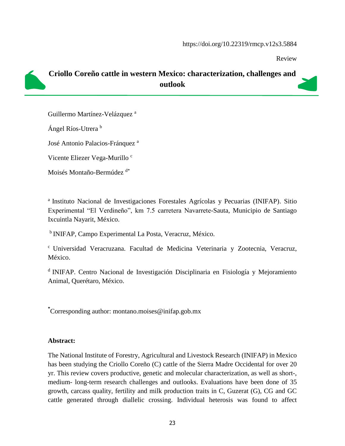Review



# **Criollo Coreño cattle in western Mexico: characterization, challenges and outlook**

Guillermo Martínez-Velázquez<sup>a</sup>

Ángel Ríos-Utrera b

José Antonio Palacios-Fránquez <sup>a</sup>

Vicente Eliezer Vega-Murillo<sup>c</sup>

Moisés Montaño-Bermúdez d\*

<sup>a</sup> Instituto Nacional de Investigaciones Forestales Agrícolas y Pecuarias (INIFAP). Sitio Experimental "El Verdineño", km 7.5 carretera Navarrete-Sauta, Municipio de Santiago Ixcuintla Nayarit, México.

<sup>b</sup> INIFAP, Campo Experimental La Posta, Veracruz, México.

<sup>c</sup> Universidad Veracruzana. Facultad de Medicina Veterinaria y Zootecnia, Veracruz, México.

<sup>d</sup> INIFAP. Centro Nacional de Investigación Disciplinaria en Fisiología y Mejoramiento Animal, Querétaro, México.

**\*** Corresponding author: montano.moises@inifap.gob.mx

#### **Abstract:**

The National Institute of Forestry, Agricultural and Livestock Research (INIFAP) in Mexico has been studying the Criollo Coreño (C) cattle of the Sierra Madre Occidental for over 20 yr. This review covers productive, genetic and molecular characterization, as well as short-, medium- long-term research challenges and outlooks. Evaluations have been done of 35 growth, carcass quality, fertility and milk production traits in C, Guzerat (G), CG and GC cattle generated through diallelic crossing. Individual heterosis was found to affect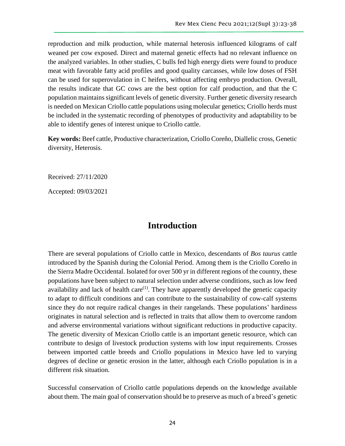reproduction and milk production, while maternal heterosis influenced kilograms of calf weaned per cow exposed. Direct and maternal genetic effects had no relevant influence on the analyzed variables. In other studies, C bulls fed high energy diets were found to produce meat with favorable fatty acid profiles and good quality carcasses, while low doses of FSH can be used for superovulation in C heifers, without affecting embryo production. Overall, the results indicate that GC cows are the best option for calf production, and that the C population maintains significant levels of genetic diversity. Further genetic diversity research is needed on Mexican Criollo cattle populations using molecular genetics; Criollo herds must be included in the systematic recording of phenotypes of productivity and adaptability to be able to identify genes of interest unique to Criollo cattle.

**Key words:** Beef cattle, Productive characterization, Criollo Coreño, Diallelic cross, Genetic diversity, Heterosis.

Received: 27/11/2020

Accepted: 09/03/2021

## **Introduction**

There are several populations of Criollo cattle in Mexico, descendants of *Bos taurus* cattle introduced by the Spanish during the Colonial Period. Among them is the Criollo Coreño in the Sierra Madre Occidental. Isolated for over 500 yr in different regions of the country, these populations have been subject to natural selection under adverse conditions, such as low feed availability and lack of health care $<sup>(1)</sup>$ . They have apparently developed the genetic capacity</sup> to adapt to difficult conditions and can contribute to the sustainability of cow-calf systems since they do not require radical changes in their rangelands. These populations' hardiness originates in natural selection and is reflected in traits that allow them to overcome random and adverse environmental variations without significant reductions in productive capacity. The genetic diversity of Mexican Criollo cattle is an important genetic resource, which can contribute to design of livestock production systems with low input requirements. Crosses between imported cattle breeds and Criollo populations in Mexico have led to varying degrees of decline or genetic erosion in the latter, although each Criollo population is in a different risk situation.

Successful conservation of Criollo cattle populations depends on the knowledge available about them. The main goal of conservation should be to preserve as much of a breed's genetic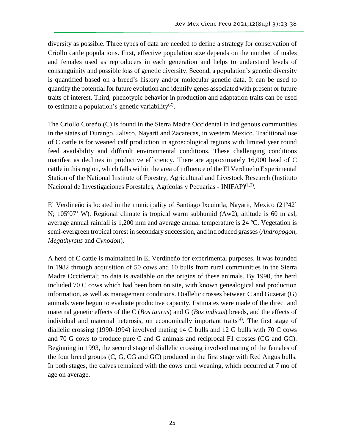diversity as possible. Three types of data are needed to define a strategy for conservation of Criollo cattle populations. First, effective population size depends on the number of males and females used as reproducers in each generation and helps to understand levels of consanguinity and possible loss of genetic diversity. Second, a population's genetic diversity is quantified based on a breed's history and/or molecular genetic data. It can be used to quantify the potential for future evolution and identify genes associated with present or future traits of interest. Third, phenotypic behavior in production and adaptation traits can be used to estimate a population's genetic variability $(2)$ .

The Criollo Coreño (C) is found in the Sierra Madre Occidental in indigenous communities in the states of Durango, Jalisco, Nayarit and Zacatecas, in western Mexico. Traditional use of C cattle is for weaned calf production in agroecological regions with limited year round feed availability and difficult environmental conditions. These challenging conditions manifest as declines in productive efficiency. There are approximately 16,000 head of C cattle in this region, which falls within the area of influence of the El Verdineño Experimental Station of the National Institute of Forestry, Agricultural and Livestock Research (Instituto Nacional de Investigaciones Forestales, Agrícolas y Pecuarias - INIFAP)<sup>(1,3)</sup>.

El Verdineño is located in the municipality of Santiago Ixcuintla, Nayarit, Mexico (21º42' N; 105º07' W). Regional climate is tropical warm subhumid (Aw2), altitude is 60 m asl, average annual rainfall is 1,200 mm and average annual temperature is 24 ºC. Vegetation is semi-evergreen tropical forest in secondary succession, and introduced grasses (*Andropogon*, *Megathyrsus* and *Cynodon*).

A herd of C cattle is maintained in El Verdineño for experimental purposes. It was founded in 1982 through acquisition of 50 cows and 10 bulls from rural communities in the Sierra Madre Occidental; no data is available on the origins of these animals. By 1990, the herd included 70 C cows which had been born on site, with known genealogical and production information, as well as management conditions. Diallelic crosses between C and Guzerat (G) animals were begun to evaluate productive capacity. Estimates were made of the direct and maternal genetic effects of the C (*Bos taurus*) and G (*Bos indicus*) breeds, and the effects of individual and maternal heterosis, on economically important traits<sup>(4)</sup>. The first stage of diallelic crossing (1990-1994) involved mating 14 C bulls and 12 G bulls with 70 C cows and 70 G cows to produce pure C and G animals and reciprocal F1 crosses (CG and GC). Beginning in 1993, the second stage of diallelic crossing involved mating of the females of the four breed groups (C, G, CG and GC) produced in the first stage with Red Angus bulls. In both stages, the calves remained with the cows until weaning, which occurred at 7 mo of age on average.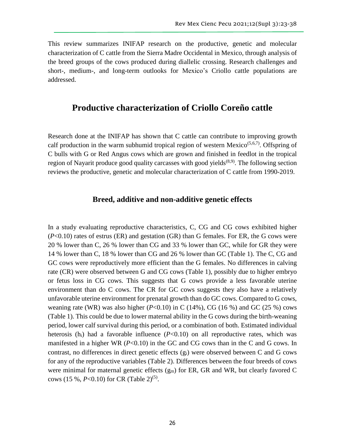This review summarizes INIFAP research on the productive, genetic and molecular characterization of C cattle from the Sierra Madre Occidental in Mexico, through analysis of the breed groups of the cows produced during diallelic crossing. Research challenges and short-, medium-, and long-term outlooks for Mexico's Criollo cattle populations are addressed.

## **Productive characterization of Criollo Coreño cattle**

Research done at the INIFAP has shown that C cattle can contribute to improving growth calf production in the warm subhumid tropical region of western Mexico<sup> $(5,6,7)$ </sup>. Offspring of C bulls with G or Red Angus cows which are grown and finished in feedlot in the tropical region of Nayarit produce good quality carcasses with good yields<sup> $(8,9)$ </sup>. The following section reviews the productive, genetic and molecular characterization of C cattle from 1990-2019.

## **Breed, additive and non-additive genetic effects**

In a study evaluating reproductive characteristics, C, CG and CG cows exhibited higher (*P*<0.10) rates of estrus (ER) and gestation (GR) than G females. For ER, the G cows were 20 % lower than C, 26 % lower than CG and 33 % lower than GC, while for GR they were 14 % lower than C, 18 % lower than CG and 26 % lower than GC (Table 1). The C, CG and GC cows were reproductively more efficient than the G females. No differences in calving rate (CR) were observed between G and CG cows (Table 1), possibly due to higher embryo or fetus loss in CG cows. This suggests that G cows provide a less favorable uterine environment than do C cows. The CR for GC cows suggests they also have a relatively unfavorable uterine environment for prenatal growth than do GC cows. Compared to G cows, weaning rate (WR) was also higher  $(P<0.10)$  in C  $(14%)$ , CG  $(16%)$  and GC  $(25%)$  cows (Table 1). This could be due to lower maternal ability in the G cows during the birth-weaning period, lower calf survival during this period, or a combination of both. Estimated individual heterosis  $(h_i)$  had a favorable influence  $(P<0.10)$  on all reproductive rates, which was manifested in a higher WR (*P*<0.10) in the GC and CG cows than in the C and G cows. In contrast, no differences in direct genetic effects (gi) were observed between C and G cows for any of the reproductive variables (Table 2). Differences between the four breeds of cows were minimal for maternal genetic effects  $(g_m)$  for ER, GR and WR, but clearly favored C cows (15 %,  $P<0.10$ ) for CR (Table 2)<sup>(5)</sup>.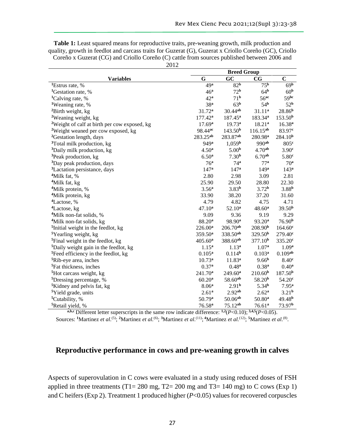| <b>Table 1:</b> Least squared means for reproductive traits, pre-weaning growth, milk production and  |
|-------------------------------------------------------------------------------------------------------|
| quality, growth in feedlot and carcass traits for Guzerat (G), Guzerat x Criollo Coreño (GC), Criollo |
| Coreño x Guzerat (CG) and Criollo Coreño (C) cattle from sources published between 2006 and           |

|                                                          | <b>Breed Group</b>  |                     |                     |                     |
|----------------------------------------------------------|---------------------|---------------------|---------------------|---------------------|
| <b>Variables</b>                                         | G                   | GC                  | $_{\rm CG}$         | $\mathbf C$         |
| <sup>1</sup> Estrus rate, %                              | 49 <sup>a</sup>     | 82 <sup>b</sup>     | 75 <sup>b</sup>     | 69 <sup>b</sup>     |
| <sup>1</sup> Gestation rate, %                           | 46 <sup>a</sup>     | 72 <sup>b</sup>     | 64 <sup>b</sup>     | 60 <sup>b</sup>     |
| <sup>1</sup> Calving rate, %                             | 42 <sup>a</sup>     | 71 <sup>b</sup>     | 56 <sup>ac</sup>    | 59bc                |
| <sup>1</sup> Weaning rate, %                             | 38 <sup>a</sup>     | 63 <sup>b</sup>     | 54 <sup>b</sup>     | 52 <sup>b</sup>     |
| <sup>2</sup> Birth weight, kg                            | 31.72 <sup>a</sup>  | 30.44ab             | 31.11 <sup>a</sup>  | 28.86 <sup>b</sup>  |
| <sup>2</sup> Weaning weight, kg                          | $177.42^a$          | $187.45^a$          | 183.34 <sup>a</sup> | 153.50 <sup>b</sup> |
| <sup>2</sup> Weight of calf at birth per cow exposed, kg | 17.69 <sup>a</sup>  | $19.73^a$           | 18.21 <sup>a</sup>  | $16.38^{a}$         |
| <sup>2</sup> Weight weaned per cow exposed, kg           | 98.44 <sup>ac</sup> | 143.50 <sup>b</sup> | $116.15^{ab}$       | 83.97 <sup>c</sup>  |
| <sup>2</sup> Gestation length, days                      | 283.25ab            | 283.87ab            | 280.98ª             | 284.10 <sup>b</sup> |
| <sup>3</sup> Total milk production, kg                   | 949 <sup>a</sup>    | 1,059 <sup>b</sup>  | 990ab               | 805 <sup>c</sup>    |
| <sup>3</sup> Daily milk production, kg                   | 4.50 <sup>a</sup>   | 5.00 <sup>b</sup>   | 4.70 <sup>ab</sup>  | 3.90 <sup>c</sup>   |
| <sup>3</sup> Peak production, kg                         | 6.50 <sup>a</sup>   | 7.30 <sup>b</sup>   | 6.70 <sup>ab</sup>  | 5.80 <sup>c</sup>   |
| <sup>3</sup> Day peak production, days                   | 76 <sup>a</sup>     | 74 <sup>a</sup>     | 77 <sup>a</sup>     | 70 <sup>a</sup>     |
| <sup>3</sup> Lactation persistance, days                 | 147 <sup>a</sup>    | 147 <sup>a</sup>    | 149 <sup>a</sup>    | 143 <sup>a</sup>    |
| <sup>4</sup> Milk fat, %                                 | 2.80                | 2.98                | 3.09                | 2.81                |
| <sup>4</sup> Milk fat, kg                                | 25.90               | 29.50               | 28.80               | 22.30               |
| <sup>4</sup> Milk protein, %                             | 3.56 <sup>a</sup>   | 3.83 <sup>b</sup>   | 3.72 <sup>b</sup>   | 3.88 <sup>b</sup>   |
| <sup>4</sup> Milk protein, kg                            | 33.90               | 38.20               | 37.20               | 31.60               |
| <sup>4</sup> Lactose, %                                  | 4.79                | 4.82                | 4.75                | 4.71                |
| <sup>4</sup> Lactose, kg                                 | 47.10 <sup>a</sup>  | $52.10^{a}$         | $48.60^a$           | 39.50 <sup>b</sup>  |
| <sup>4</sup> Milk non-fat solids, %                      | 9.09                | 9.36                | 9.19                | 9.29                |
| <sup>4</sup> Milk non-fat solids, kg                     | 88.20 <sup>a</sup>  | 98.90 <sup>a</sup>  | 93.20 <sup>a</sup>  | 76.90 <sup>b</sup>  |
| <sup>5</sup> Initial weight in the feedlot, kg           | $226.00^a$          | $206.70^{ab}$       | 208.90 <sup>b</sup> | 164.60 <sup>c</sup> |
| <sup>5</sup> Yearling weight, kg                         | 359.50 <sup>a</sup> | 338.50ab            | 329.50 <sup>b</sup> | 279.40 <sup>c</sup> |
| <sup>5</sup> Final weight in the feedlot, kg             | $405.60^{\rm a}$    | 388.60ab            | $377.10^{b}$        | 335.20 <sup>c</sup> |
| <sup>5</sup> Daily weight gain in the feedlot, kg        | 1.15 <sup>a</sup>   | 1.13 <sup>a</sup>   | 1.07 <sup>a</sup>   | 1.09 <sup>a</sup>   |
| <sup>5</sup> Feed efficiency in the feedlot, kg          | $0.105^a$           | 0.114 <sup>b</sup>  | $0.103^{a}$         | 0.109 <sup>ab</sup> |
| <sup>5</sup> Rib-eye area, inches                        | $10.73^{\rm a}$     | 11.83 <sup>a</sup>  | 9.66 <sup>b</sup>   | 8.40 <sup>c</sup>   |
| <sup>5</sup> Fat thickness, inches                       | 0.37 <sup>a</sup>   | 0.48 <sup>a</sup>   | 0.38 <sup>a</sup>   | $0.40^{\rm a}$      |
| <sup>5</sup> Hot carcass weight, kg                      | $241.70^a$          | $249.60^a$          | 210.60 <sup>b</sup> | 187.50 <sup>b</sup> |
| <sup>5</sup> Dressing percentage, %                      | $60.20^{\rm a}$     | $58.60^{ab}$        | 58.20 <sup>b</sup>  | 54.20 <sup>c</sup>  |
| <sup>5</sup> Kidney and pelvis fat, kg                   | 8.06 <sup>a</sup>   | 2.91 <sup>b</sup>   | 5.34 <sup>b</sup>   | $7.95^{\rm a}$      |
| <sup>5</sup> Yield grade, units                          | $2.61^a$            | 2.92 <sup>ab</sup>  | $2.62^{\rm a}$      | 3.21 <sup>b</sup>   |
| <sup>5</sup> Cutability, %                               | 50.79 <sup>a</sup>  | $50.06^{ab}$        | 50.80 <sup>a</sup>  | 49.48 <sup>b</sup>  |
| <sup>5</sup> Retail yield, %                             | 76.58 <sup>a</sup>  | $75.12^{ab}$        | 76.61 <sup>a</sup>  | 73.97 <sup>b</sup>  |

**a,b,c** Different letter superscripts in the same row indicate difference: **1,2**(*P*<0.10); **3,4,5**(*P*<0.05).

Sources: <sup>1</sup>Martinez *et al.*<sup>(5)</sup>; <sup>2</sup>Martinez *et al.*<sup>(6)</sup>; <sup>3</sup>Martinez *et al.*<sup>(11)</sup>; <sup>4</sup>Martinez *et al.*<sup>(12)</sup>; <sup>5</sup>Martinez *et al.*<sup>(8)</sup>.

### **Reproductive performance in cows and pre-weaning growth in calves**

Aspects of superovulation in C cows were evaluated in a study using reduced doses of FSH applied in three treatments (T1= 280 mg, T2= 200 mg and T3= 140 mg) to C cows (Exp 1) and C heifers (Exp 2). Treatment 1 produced higher (*P*<0.05) values for recovered corpuscles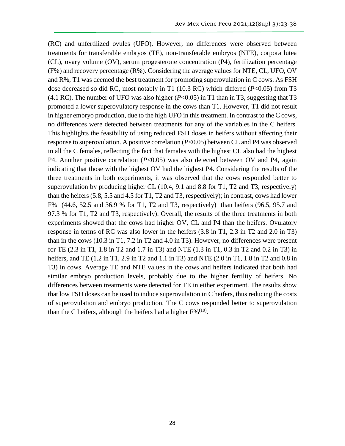(RC) and unfertilized ovules (UFO). However, no differences were observed between treatments for transferable embryos (TE), non-transferable embryos (NTE), corpora lutea (CL), ovary volume (OV), serum progesterone concentration (P4), fertilization percentage (F%) and recovery percentage (R%). Considering the average values for NTE, CL, UFO, OV and R%, T1 was deemed the best treatment for promoting superovulation in C cows. As FSH dose decreased so did RC, most notably in T1 (10.3 RC) which differed (*P*<0.05) from T3 (4.1 RC). The number of UFO was also higher  $(P<0.05)$  in T1 than in T3, suggesting that T3 promoted a lower superovulatory response in the cows than T1. However, T1 did not result in higher embryo production, due to the high UFO in this treatment. In contrast to the C cows, no differences were detected between treatments for any of the variables in the C heifers. This highlights the feasibility of using reduced FSH doses in heifers without affecting their response to superovulation. A positive correlation (*P*<0.05) between CL and P4 was observed in all the C females, reflecting the fact that females with the highest CL also had the highest P4. Another positive correlation (*P*<0.05) was also detected between OV and P4, again indicating that those with the highest OV had the highest P4. Considering the results of the three treatments in both experiments, it was observed that the cows responded better to superovulation by producing higher CL (10.4, 9.1 and 8.8 for T1, T2 and T3, respectively) than the heifers (5.8, 5.5 and 4.5 for T1, T2 and T3, respectively); in contrast, cows had lower F% (44.6, 52.5 and 36.9 % for T1, T2 and T3, respectively) than heifers (96.5, 95.7 and 97.3 % for T1, T2 and T3, respectively). Overall, the results of the three treatments in both experiments showed that the cows had higher OV, CL and P4 than the heifers. Ovulatory response in terms of RC was also lower in the heifers (3.8 in T1, 2.3 in T2 and 2.0 in T3) than in the cows (10.3 in T1, 7.2 in T2 and 4.0 in T3). However, no differences were present for TE (2.3 in T1, 1.8 in T2 and 1.7 in T3) and NTE (1.3 in T1, 0.3 in T2 and 0.2 in T3) in heifers, and TE (1.2 in T1, 2.9 in T2 and 1.1 in T3) and NTE (2.0 in T1, 1.8 in T2 and 0.8 in T3) in cows. Average TE and NTE values in the cows and heifers indicated that both had similar embryo production levels, probably due to the higher fertility of heifers. No differences between treatments were detected for TE in either experiment. The results show that low FSH doses can be used to induce superovulation in C heifers, thus reducing the costs of superovulation and embryo production. The C cows responded better to superovulation than the C heifers, although the heifers had a higher  $F\%^{(10)}$ .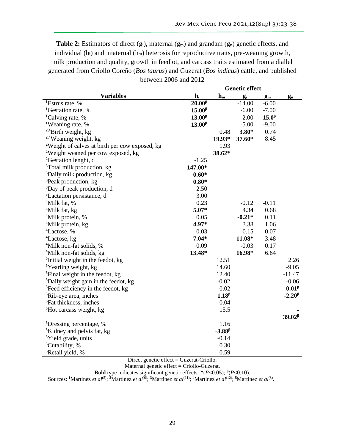**Table 2:** Estimators of direct (g<sub>i</sub>), maternal (g<sub>m</sub>) and grandam (g<sub>n</sub>) genetic effects, and individual  $(h_i)$  and maternal  $(h_m)$  heterosis for reproductive traits, pre-weaning growth, milk production and quality, growth in feedlot, and carcass traits estimated from a diallel generated from Criollo Coreño (*Bos taurus*) and Guzerat (*Bos indicus*) cattle, and published between 2006 and 2012

|                                                            | <b>Genetic effect</b> |                 |          |                 |                 |
|------------------------------------------------------------|-----------------------|-----------------|----------|-----------------|-----------------|
| <b>Variables</b>                                           | $h_i$                 | $h_m$           | $g_i$    | $g_m$           | $g_n$           |
| <sup>1</sup> Estrus rate, %                                | $20.00^{\beta}$       |                 | $-14.00$ | $-6.00$         |                 |
| <sup>1</sup> Gestation rate, %                             | $15.00^{\beta}$       |                 | $-6.00$  | $-7.00$         |                 |
| <sup>1</sup> Calving rate, %                               | $13.00^{\beta}$       |                 | $-2.00$  | $-15.0^{\beta}$ |                 |
| <sup>1</sup> Weaning rate, %                               | $13.00^{\beta}$       |                 | $-5.00$  | $-9.00$         |                 |
| <sup>2,4</sup> Birth weight, kg                            |                       | 0.48            | $3.80*$  | 0.74            |                 |
| <sup>2,4</sup> Weaning weight, kg                          |                       | $19.93*$        | 37.60*   | 8.45            |                 |
| <sup>2</sup> Weight of calves at birth per cow exposed, kg |                       | 1.93            |          |                 |                 |
| <sup>2</sup> Weight weaned per cow exposed, kg             |                       | 38.62*          |          |                 |                 |
| <sup>2</sup> Gestation lenght, d                           | $-1.25$               |                 |          |                 |                 |
| <sup>3</sup> Total milk production, kg                     | 147.00*               |                 |          |                 |                 |
| <sup>3</sup> Daily milk production, kg                     | $0.60*$               |                 |          |                 |                 |
| <sup>3</sup> Peak production, kg                           | $0.80*$               |                 |          |                 |                 |
| <sup>3</sup> Day of peak production, d                     | 2.50                  |                 |          |                 |                 |
| <sup>3</sup> Lactation persistance, d                      | 3.00                  |                 |          |                 |                 |
| <sup>4</sup> Milk fat, %                                   | 0.23                  |                 | $-0.12$  | $-0.11$         |                 |
| <sup>4</sup> Milk fat, kg                                  | 5.07*                 |                 | 4.34     | 0.68            |                 |
| <sup>4</sup> Milk protein, %                               | 0.05                  |                 | $-0.21*$ | 0.11            |                 |
| <sup>4</sup> Milk protein, kg                              | 4.97*                 |                 | 3.38     | 1.06            |                 |
| <sup>4</sup> Lactose, %                                    | 0.03                  |                 | 0.15     | 0.07            |                 |
| <sup>4</sup> Lactose, kg                                   | $7.04*$               |                 | 11.08*   | 3.48            |                 |
| <sup>4</sup> Milk non-fat solids, %                        | 0.09                  |                 | $-0.03$  | 0.17            |                 |
| <sup>4</sup> Milk non-fat solids, kg                       | 13.48*                |                 | 16.98*   | 6.64            |                 |
| $\frac{5}{2}$ Initial weight in the feedot, kg             |                       | 12.51           |          |                 | 2.26            |
| <sup>5</sup> Yearling weight, kg                           |                       | 14.60           |          |                 | $-9.05$         |
| <sup>5</sup> Final weight in the feedot, kg                |                       | 12.40           |          |                 | $-11.47$        |
| <sup>5</sup> Daily weight gain in the feedot, kg           |                       | $-0.02$         |          |                 | $-0.06$         |
| <sup>5</sup> Feed efficiency in the feedot, kg             |                       | 0.02            |          |                 | $-0.01^{\beta}$ |
| <sup>5</sup> Rib-eye area, inches                          |                       | $1.18\beta$     |          |                 | $-2.20\beta$    |
| <sup>5</sup> Fat thickness, inches                         |                       | 0.04            |          |                 |                 |
| <sup>5</sup> Hot carcass weight, kg                        |                       | 15.5            |          |                 |                 |
|                                                            |                       |                 |          |                 | $39.02\beta$    |
| <sup>5</sup> Dressing percentage, %                        |                       | 1.16            |          |                 |                 |
| <sup>5</sup> Kidney and pelvis fat, kg                     |                       | $-3.88^{\beta}$ |          |                 |                 |
| <sup>5</sup> Yield grade, units                            |                       | $-0.14$         |          |                 |                 |
| <sup>5</sup> Cutability, %                                 |                       | 0.30            |          |                 |                 |
| <sup>5</sup> Retail yield, %                               |                       | 0.59            |          |                 |                 |

Direct genetic effect = Guzerat-Criollo.

Maternal genetic effect = Criollo-Guzerat.

**Bold** type indicates significant genetic effects: **\***(*P*<0.05); **<sup>β</sup>** (*P*<0.10).

Sources: <sup>1</sup>Martínez *et al*<sup>(5)</sup>; <sup>2</sup>Martínez *et al*<sup>(6)</sup>; <sup>3</sup>Martinez *et al*<sup>(11)</sup>; <sup>4</sup>Martínez *et al*<sup>(12)</sup>; <sup>5</sup>Martínez *et al*<sup>(8)</sup>.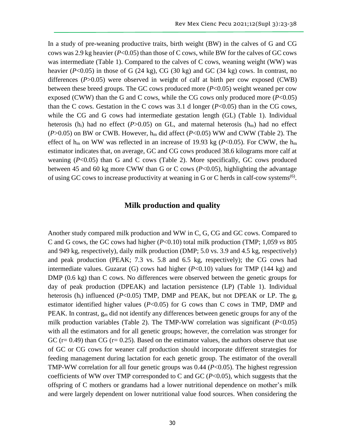In a study of pre-weaning productive traits, birth weight (BW) in the calves of G and CG cows was 2.9 kg heavier (*P*<0.05) than those of C cows, while BW for the calves of GC cows was intermediate (Table 1). Compared to the calves of C cows, weaning weight (WW) was heavier (*P*<0.05) in those of G (24 kg), CG (30 kg) and GC (34 kg) cows. In contrast, no differences (*P*>0.05) were observed in weight of calf at birth per cow exposed (CWB) between these breed groups. The GC cows produced more (*P*<0.05) weight weaned per cow exposed (CWW) than the G and C cows, while the CG cows only produced more  $(P<0.05)$ than the C cows. Gestation in the C cows was 3.1 d longer  $(P<0.05)$  than in the CG cows, while the CG and G cows had intermediate gestation length (GL) (Table 1). Individual heterosis (h<sub>i</sub>) had no effect ( $P > 0.05$ ) on GL, and maternal heterosis (h<sub>m</sub>) had no effect ( $P > 0.05$ ) on BW or CWB. However,  $h_m$  did affect ( $P < 0.05$ ) WW and CWW (Table 2). The effect of  $h_m$  on WW was reflected in an increase of 19.93 kg ( $P<0.05$ ). For CWW, the  $h_m$ estimator indicates that, on average, GC and CG cows produced 38.6 kilograms more calf at weaning (*P*<0.05) than G and C cows (Table 2). More specifically, GC cows produced between 45 and 60 kg more CWW than G or C cows (*P*<0.05), highlighting the advantage of using GC cows to increase productivity at weaning in G or C herds in calf-cow systems<sup>(6)</sup>.

#### **Milk production and quality**

Another study compared milk production and WW in C, G, CG and GC cows. Compared to C and G cows, the GC cows had higher (*P*<0.10) total milk production (TMP; 1,059 *vs* 805 and 949 kg, respectively), daily milk production (DMP; 5.0 vs. 3.9 and 4.5 kg, respectively) and peak production (PEAK; 7.3 vs. 5.8 and 6.5 kg, respectively); the CG cows had intermediate values. Guzarat (G) cows had higher  $(P<0.10)$  values for TMP (144 kg) and DMP (0.6 kg) than C cows. No differences were observed between the genetic groups for day of peak production (DPEAK) and lactation persistence (LP) (Table 1). Individual heterosis (h<sub>i</sub>) influenced (*P*<0.05) TMP, DMP and PEAK, but not DPEAK or LP. The g<sub>i</sub> estimator identified higher values  $(P<0.05)$  for G cows than C cows in TMP, DMP and PEAK. In contrast,  $g_m$  did not identify any differences between genetic groups for any of the milk production variables (Table 2). The TMP-WW correlation was significant  $(P<0.05)$ with all the estimators and for all genetic groups; however, the correlation was stronger for GC ( $r = 0.49$ ) than CG ( $r = 0.25$ ). Based on the estimator values, the authors observe that use of GC or CG cows for weaner calf production should incorporate different strategies for feeding management during lactation for each genetic group. The estimator of the overall TMP-WW correlation for all four genetic groups was 0.44 (*P*<0.05). The highest regression coefficients of WW over TMP corresponded to C and GC (*P*<0.05), which suggests that the offspring of C mothers or grandams had a lower nutritional dependence on mother's milk and were largely dependent on lower nutritional value food sources. When considering the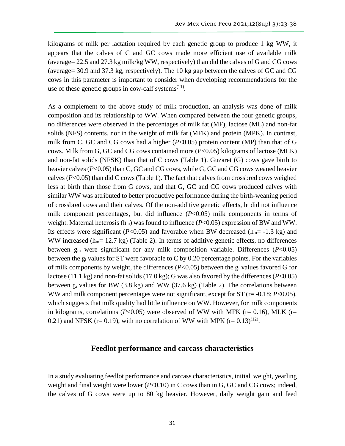kilograms of milk per lactation required by each genetic group to produce 1 kg WW, it appears that the calves of C and GC cows made more efficient use of available milk (average= 22.5 and 27.3 kg milk/kg WW, respectively) than did the calves of G and CG cows (average= 30.9 and 37.3 kg, respectively). The 10 kg gap between the calves of GC and CG cows in this parameter is important to consider when developing recommendations for the use of these genetic groups in cow-calf systems $<sup>(11)</sup>$ .</sup>

As a complement to the above study of milk production, an analysis was done of milk composition and its relationship to WW. When compared between the four genetic groups, no differences were observed in the percentages of milk fat (MF), lactose (ML) and non-fat solids (NFS) contents, nor in the weight of milk fat (MFK) and protein (MPK). In contrast, milk from C, GC and CG cows had a higher ( $P<0.05$ ) protein content (MP) than that of G cows. Milk from G, GC and CG cows contained more (*P*<0.05) kilograms of lactose (MLK) and non-fat solids (NFSK) than that of C cows (Table 1). Guzaret (G) cows gave birth to heavier calves (*P*<0.05) than C, GC and CG cows, while G, GC and CG cows weaned heavier calves (*P*<0.05) than did C cows (Table 1). The fact that calves from crossbred cows weighed less at birth than those from G cows, and that G, GC and CG cows produced calves with similar WW was attributed to better productive performance during the birth-weaning period of crossbred cows and their calves. Of the non-additive genetic effects,  $h_i$  did not influence milk component percentages, but did influence (*P*<0.05) milk components in terms of weight. Maternal heterosis  $(h_m)$  was found to influence ( $P<0.05$ ) expression of BW and WW. Its effects were significant ( $P<0.05$ ) and favorable when BW decreased ( $h_m$ = -1.3 kg) and WW increased ( $h_m$ = 12.7 kg) (Table 2). In terms of additive genetic effects, no differences between g<sup>m</sup> were significant for any milk composition variable. Differences (*P*<0.05) between the g<sup>i</sup> values for ST were favorable to C by 0.20 percentage points. For the variables of milk components by weight, the differences (*P*<0.05) between the g<sup>i</sup> values favored G for lactose (11.1 kg) and non-fat solids (17.0 kg); G was also favored by the differences (*P*<0.05) between g<sup>i</sup> values for BW (3.8 kg) and WW (37.6 kg) (Table 2). The correlations between WW and milk component percentages were not significant, except for ST (r= -0.18; *P*<0.05), which suggests that milk quality had little influence on WW. However, for milk components in kilograms, correlations ( $P<0.05$ ) were observed of WW with MFK ( $r= 0.16$ ), MLK ( $r=$ 0.21) and NFSK ( $r=0.19$ ), with no correlation of WW with MPK ( $r=0.13$ )<sup>(12)</sup>.

#### **Feedlot performance and carcass characteristics**

In a study evaluating feedlot performance and carcass characteristics, initial weight, yearling weight and final weight were lower (*P*<0.10) in C cows than in G, GC and CG cows; indeed, the calves of G cows were up to 80 kg heavier. However, daily weight gain and feed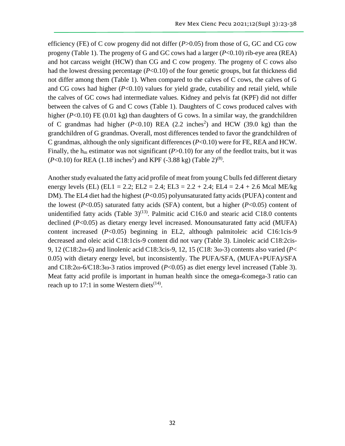efficiency (FE) of C cow progeny did not differ (*P*>0.05) from those of G, GC and CG cow progeny (Table 1). The progeny of G and GC cows had a larger  $(P<0.10)$  rib-eye area (REA) and hot carcass weight (HCW) than CG and C cow progeny. The progeny of C cows also had the lowest dressing percentage (*P*<0.10) of the four genetic groups, but fat thickness did not differ among them (Table 1). When compared to the calves of C cows, the calves of G and CG cows had higher  $(P<0.10)$  values for yield grade, cutability and retail yield, while the calves of GC cows had intermediate values. Kidney and pelvis fat (KPF) did not differ between the calves of G and C cows (Table 1). Daughters of C cows produced calves with higher (*P*<0.10) FE (0.01 kg) than daughters of G cows. In a similar way, the grandchildren of C grandmas had higher  $(P<0.10)$  REA  $(2.2 \text{ inches}^2)$  and HCW  $(39.0 \text{ kg})$  than the grandchildren of G grandmas. Overall, most differences tended to favor the grandchildren of C grandmas, although the only significant differences (*P*<0.10) were for FE, REA and HCW. Finally, the  $h_m$  estimator was not significant ( $P > 0.10$ ) for any of the feedlot traits, but it was  $(P<0.10)$  for REA  $(1.18 \text{ inches}^2)$  and KPF  $(-3.88 \text{ kg})$  (Table 2)<sup>(8)</sup>.

Another study evaluated the fatty acid profile of meat from young C bulls fed different dietary energy levels (EL) (EL1 = 2.2; EL2 = 2.4; EL3 = 2.2 + 2.4; EL4 = 2.4 + 2.6 Mcal ME/kg DM). The EL4 diet had the highest (*P*<0.05) polyunsaturated fatty acids (PUFA) content and the lowest  $(P<0.05)$  saturated fatty acids (SFA) content, but a higher  $(P<0.05)$  content of unidentified fatty acids (Table  $3)^{(13)}$ . Palmitic acid C16.0 and stearic acid C18.0 contents declined (*P*<0.05) as dietary energy level increased. Monounsaturated fatty acid (MUFA) content increased (*P*<0.05) beginning in EL2, although palmitoleic acid C16:1cis-9 decreased and oleic acid C18:1cis-9 content did not vary (Table 3). Linoleic acid C18:2cis-9, 12 (C18:2ω-6) and linolenic acid C18:3cis-9, 12, 15 (C18: 3ω-3) contents also varied (*P*< 0.05) with dietary energy level, but inconsistently. The PUFA/SFA, (MUFA+PUFA)/SFA and C18:2ω-6/C18:3ω-3 ratios improved (*P*<0.05) as diet energy level increased (Table 3). Meat fatty acid profile is important in human health since the omega-6:omega-3 ratio can reach up to 17:1 in some Western diets<sup> $(14)$ </sup>.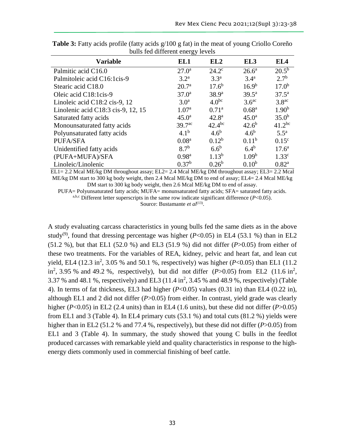|                                    | ົວ                 |                   |                   |                    |
|------------------------------------|--------------------|-------------------|-------------------|--------------------|
| <b>Variable</b>                    | EL1                | EL2               | EL3               | EL4                |
| Palmitic acid C16.0                | $27.0^{\rm a}$     | $24.2^{\circ}$    | $26.6^{\rm a}$    | $20.5^{b}$         |
| Palmitoleic acid C16:1cis-9        | 3.2 <sup>a</sup>   | 3.3 <sup>a</sup>  | $3.4^{\rm a}$     | 2.7 <sup>b</sup>   |
| Stearic acid C18.0                 | 20.7 <sup>a</sup>  | $17.6^{b}$        | $16.9^{b}$        | $17.0^{b}$         |
| Oleic acid C18:1cis-9              | $37.0^{\rm a}$     | $38.9^{a}$        | $39.5^{\rm a}$    | $37.5^{\rm a}$     |
| Linoleic acid C18:2 cis-9, 12      | 3.0 <sup>a</sup>   | 4.0 <sup>bc</sup> | 3.6 <sup>ac</sup> | 3.8 <sup>ac</sup>  |
| Linolenic acid C18:3 cis-9, 12, 15 | 1.07 <sup>a</sup>  | 0.71 <sup>a</sup> | 0.68 <sup>a</sup> | 1.90 <sup>b</sup>  |
| Saturated fatty acids              | $45.0^{\rm a}$     | 42.8 <sup>a</sup> | $45.0^{\rm a}$    | $35.0^{b}$         |
| Monounsaturated fatty acids        | 39.7 <sup>ac</sup> | $42.4^{bc}$       | $42.6^{b}$        | $41.2^{bc}$        |
| Polyunsaturated fatty acids        | 4.1 <sup>b</sup>   | $4.6^b$           | $4.6^b$           | $5.5^{\mathrm{a}}$ |
| PUFA/SFA                           | 0.08 <sup>a</sup>  | $0.12^{b}$        | $0.11^{b}$        | $0.15^{\circ}$     |
| Unidentified fatty acids           | 8.7 <sup>b</sup>   | $6.6^b$           | $6.4^{b}$         | $17.6^{\rm a}$     |
| (PUFA+MUFA)/SFA                    | 0.98 <sup>a</sup>  | $1.13^{b}$        | 1.09 <sup>b</sup> | 1.33 <sup>c</sup>  |
| Linoleic/Linolenic                 | 0.37 <sup>b</sup>  | $0.26^b$          | $0.10^{b}$        | $0.82^{a}$         |

**Table 3:** Fatty acids profile (fatty acids g/100 g fat) in the meat of young Criollo Coreño bulls fed different energy levels

EL1= 2.2 Mcal ME/kg DM throughout assay; EL2= 2.4 Mcal ME/kg DM throughout assay; EL3= 2.2 Mcal ME/kg DM start to 300 kg body weight, then 2.4 Mcal ME/kg DM to end of assay; EL4= 2.4 Mcal ME/kg DM start to 300 kg body weight, then 2.6 Mcal ME/kg DM to end of assay.

PUFA= Polyunsaturated fatty acids; MUFA= monunsaturated fatty acids; SFA= saturated fatty acids.

a,b,c Different letter superscripts in the same row indicate significant difference  $(P<0.05)$ .

Source: Bustamante *et al*<sup>(13)</sup>.

A study evaluating carcass characteristics in young bulls fed the same diets as in the above study<sup>(9)</sup>, found that dressing percentage was higher ( $P<0.05$ ) in EL4 (53.1 %) than in EL2 (51.2 %), but that EL1 (52.0 %) and EL3 (51.9 %) did not differ (*P*>0.05) from either of these two treatments. For the variables of REA, kidney, pelvic and heart fat, and lean cut yield, EL4 (12.3 in<sup>2</sup>, 3.05 % and 50.1 %, respectively) was higher ( $P < 0.05$ ) than EL1 (11.2 in<sup>2</sup>, 3.95 % and 49.2 %, respectively), but did not differ  $(P>0.05)$  from EL2  $(11.6 \text{ in}^2)$ , 3.37 % and 48.1 %, respectively) and EL3  $(11.4 \text{ in}^2, 3.45 \text{ % and } 48.9 \text{ %},$  respectively) (Table 4). In terms of fat thickness, EL3 had higher (*P*<0.05) values (0.31 in) than EL4 (0.22 in), although EL1 and 2 did not differ (*P*>0.05) from either. In contrast, yield grade was clearly higher (*P*<0.05) in EL2 (2.4 units) than in EL4 (1.6 units), but these did not differ (*P*>0.05) from EL1 and 3 (Table 4). In EL4 primary cuts  $(53.1 \%)$  and total cuts  $(81.2 \%)$  yields were higher than in EL2 (51.2 % and 77.4 %, respectively), but these did not differ (*P*>0.05) from EL1 and 3 (Table 4). In summary, the study showed that young C bulls in the feedlot produced carcasses with remarkable yield and quality characteristics in response to the highenergy diets commonly used in commercial finishing of beef cattle.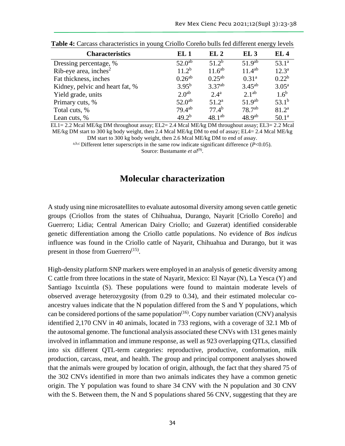| <b>Characteristics</b>            | EL <sub>1</sub>   | EL2               | EL3                | EL <sub>4</sub>   |
|-----------------------------------|-------------------|-------------------|--------------------|-------------------|
| Dressing percentage, %            | $52.0^{ab}$       | 51.2 <sup>b</sup> | $51.9^{ab}$        | $53.1^a$          |
| Rib-eye area, inches <sup>2</sup> | $11.2^{b}$        | $11.6^{ab}$       | $11.4^{ab}$        | $12.3^{\rm a}$    |
| Fat thickness, inches             | $0.26^{ab}$       | $0.25^{ab}$       | 0.31 <sup>a</sup>  | $0.22^{b}$        |
| Kidney, pelvic and heart fat, %   | $3.95^{b}$        | $3.37^{ab}$       | $3.45^{ab}$        | $3.05^{\rm a}$    |
| Yield grade, units                | 2.0 <sup>ab</sup> | $2.4^{\rm a}$     | 2.1 <sup>ab</sup>  | 1.6 <sup>b</sup>  |
| Primary cuts, %                   | $52.0^{ab}$       | 51.2 <sup>a</sup> | 51.9 <sup>ab</sup> | $53.1^{b}$        |
| Total cuts, %                     | $79.4^{ab}$       | 77.4 <sup>b</sup> | 78.7 <sup>ab</sup> | 81.2 <sup>a</sup> |
| Lean cuts, %                      | $49.2^{b}$        | $48.1^{ab}$       | 48.9 <sup>ab</sup> | 50.1 <sup>a</sup> |

**Table 4:** Carcass characteristics in young Criollo Coreño bulls fed different energy levels

EL1= 2.2 Mcal ME/kg DM throughout assay; EL2= 2.4 Mcal ME/kg DM throughout assay; EL3= 2.2 Mcal ME/kg DM start to 300 kg body weight, then 2.4 Mcal ME/kg DM to end of assay; EL4= 2.4 Mcal ME/kg

DM start to 300 kg body weight, then 2.6 Mcal ME/kg DM to end of assay.

a,b,c Different letter superscripts in the same row indicate significant difference (*P*<0.05).

Source: Bustamante *et al*<sup>(9)</sup>.

## **Molecular characterization**

A study using nine microsatellites to evaluate autosomal diversity among seven cattle genetic groups (Criollos from the states of Chihuahua, Durango, Nayarit [Criollo Coreño] and Guerrero; Lidia; Central American Dairy Criollo; and Guzerat) identified considerable genetic differentiation among the Criollo cattle populations. No evidence of *Bos indicus* influence was found in the Criollo cattle of Nayarit, Chihuahua and Durango, but it was present in those from Guerrero<sup>(15)</sup>.

High-density platform SNP markers were employed in an analysis of genetic diversity among C cattle from three locations in the state of Nayarit, Mexico: El Nayar (N), La Yesca (Y) and Santiago Ixcuintla (S). These populations were found to maintain moderate levels of observed average heterozygosity (from 0.29 to 0.34), and their estimated molecular coancestry values indicate that the N population differed from the S and Y populations, which can be considered portions of the same population<sup> $(16)$ </sup>. Copy number variation (CNV) analysis identified 2,170 CNV in 40 animals, located in 733 regions, with a coverage of 32.1 Mb of the autosomal genome. The functional analysis associated these CNVs with 131 genes mainly involved in inflammation and immune response, as well as 923 overlapping QTLs, classified into six different QTL-term categories: reproductive, productive, conformation, milk production, carcass, meat, and health. The group and principal component analyses showed that the animals were grouped by location of origin, although, the fact that they shared 75 of the 302 CNVs identified in more than two animals indicates they have a common genetic origin. The Y population was found to share 34 CNV with the N population and 30 CNV with the S. Between them, the N and S populations shared 56 CNV, suggesting that they are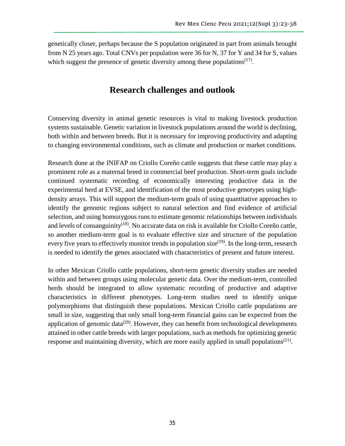genetically closer, perhaps because the S population originated in part from animals brought from N 25 years ago. Total CNVs per population were 36 for N, 37 for Y and 34 for S, values which suggest the presence of genetic diversity among these populations $(17)$ .

## **Research challenges and outlook**

Conserving diversity in animal genetic resources is vital to making livestock production systems sustainable. Genetic variation in livestock populations around the world is declining, both within and between breeds. But it is necessary for improving productivity and adapting to changing environmental conditions, such as climate and production or market conditions.

Research done at the INIFAP on Criollo Coreño cattle suggests that these cattle may play a prominent role as a maternal breed in commercial beef production. Short-term goals include continued systematic recording of economically interesting productive data in the experimental herd at EVSE, and identification of the most productive genotypes using highdensity arrays. This will support the medium-term goals of using quantitative approaches to identify the genomic regions subject to natural selection and find evidence of artificial selection, and using homozygous runs to estimate genomic relationships between individuals and levels of consanguinity<sup> $(18)$ </sup>. No accurate data on risk is available for Criollo Coreño cattle, so another medium-term goal is to evaluate effective size and structure of the population every five years to effectively monitor trends in population size $(19)$ . In the long-term, research is needed to identify the genes associated with characteristics of present and future interest.

In other Mexican Criollo cattle populations, short-term genetic diversity studies are needed within and between groups using molecular genetic data. Over the medium-term, controlled herds should be integrated to allow systematic recording of productive and adaptive characteristics in different phenotypes. Long-term studies need to identify unique polymorphisms that distinguish these populations. Mexican Criollo cattle populations are small in size, suggesting that only small long-term financial gains can be expected from the application of genomic data<sup> $(20)$ </sup>. However, they can benefit from technological developments attained in other cattle breeds with larger populations, such as methods for optimizing genetic response and maintaining diversity, which are more easily applied in small populations<sup> $(21)$ </sup>.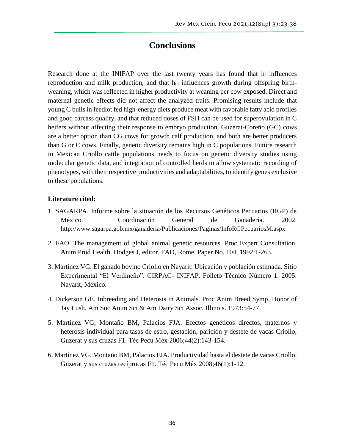# **Conclusions**

Research done at the INIFAP over the last twenty years has found that  $h_i$  influences reproduction and milk production, and that  $h_m$  influences growth during offspring birthweaning, which was reflected in higher productivity at weaning per cow exposed. Direct and maternal genetic effects did not affect the analyzed traits. Promising results include that young C bulls in feedlot fed high-energy diets produce meat with favorable fatty acid profiles and good carcass quality, and that reduced doses of FSH can be used for superovulation in C heifers without affecting their response to embryo production. Guzerat-Coreño (GC) cows are a better option than CG cows for growth calf production, and both are better producers than G or C cows. Finally, genetic diversity remains high in C populations. Future research in Mexican Criollo cattle populations needs to focus on genetic diversity studies using molecular genetic data, and integration of controlled herds to allow systematic recording of phenotypes, with their respective productivities and adaptabilities, to identify genes exclusive to these populations.

#### **Literature cited:**

- 1. SAGARPA. Informe sobre la situación de los Recursos Genéticos Pecuarios (RGP) de México. Coordinación General de Ganadería. 2002. http://www.sagarpa.gob.mx/ganaderia/Publicaciones/Paginas/InfoRGPecuariosM.aspx
- 2. FAO. The management of global animal genetic resources. Proc Expert Consultation, Anim Prod Health. Hodges J, editor. FAO, Rome. Paper No. 104, 1992:1-263.
- 3. Martínez VG. El ganado bovino Criollo en Nayarit: Ubicación y población estimada. Sitio Experimental "El Verdineño". CIRPAC- INIFAP. Folleto Técnico Número 1. 2005. Nayarit, México.
- 4. Dickerson GE. Inbreeding and Heterosis in Animals. Proc Anim Breed Symp, Honor of Jay Lush. Am Soc Anim Sci & Am Dairy Sci Assoc. Illinois. 1973:54-77.
- 5. Martínez VG, Montaño BM, Palacios FJA. Efectos genéticos directos, maternos y heterosis individual para tasas de estro, gestación, parición y destete de vacas Criollo, Guzerat y sus cruzas F1. Téc Pecu Méx 2006;44(2):143-154.
- 6. Martínez VG, Montaño BM, Palacios FJA. Productividad hasta el destete de vacas Criollo, Guzerat y sus cruzas recíprocas F1. Téc Pecu Méx 2008;46(1):1-12.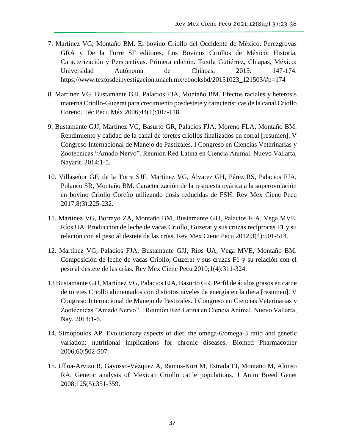- 7. Martínez VG, Montaño BM. El bovino Criollo del Occidente de México. Perezgrovas GRA y De la Torre SF editores. Los Bovinos Criollos de México: Historia, Caracterización y Perspectivas. Primera edición. Tuxtla Gutiérrez, Chiapas, México: Universidad Autónoma de Chiapas; 2015: 147-174. https://www.textosdeinvestigacion.unach.mx/ebooksbd/20151023\_121503/#p=174
- 8. Martínez VG, Bustamante GJJ, Palacios FJA, Montaño BM. Efectos raciales y heterosis materna Criollo-Guzerat para crecimiento posdestete y características de la canal Criollo Coreño. Téc Pecu Méx 2006;44(1):107-118.
- 9. Bustamante GJJ, Martínez VG, Basurto GR, Palacios FJA, Moreno FLA, Montaño BM. Rendimiento y calidad de la canal de toretes criollos finalizados en corral [resumen]. V Congreso Internacional de Manejo de Pastizales. I Congreso en Ciencias Veterinarias y Zootécnicas "Amado Nervo". Reunión Red Latina en Ciencia Animal. Nuevo Vallarta, Nayarit. 2014:1-5.
- 10. Villaseñor GF, de la Torre SJF, Martínez VG, Álvarez GH, Pérez RS, Palacios FJA, Polanco SR, Montaño BM. Caracterización de la respuesta ovárica a la superovulación en bovino Criollo Coreño utilizando dosis reducidas de FSH. Rev Mex Cienc Pecu 2017;8(3):225-232.
- 11. Martínez VG, Borrayo ZA, Montaño BM, Bustamante GJJ, Palacios FJA, Vega MVE, Ríos UA. Producción de leche de vacas Criollo, Guzerat y sus cruzas recíprocas F1 y su relación con el peso al destete de las crías. Rev Mex Cienc Pecu 2012;3(4):501-514.
- 12. Martínez VG, Palacios FJA, Bustamante GJJ, Ríos UA, Vega MVE, Montaño BM. Composición de leche de vacas Criollo, Guzerat y sus cruzas F1 y su relación con el peso al destete de las crías. Rev Mex Cienc Pecu 2010;1(4):311-324.
- 13 Bustamante GJJ, Martínez VG, Palacios FJA, Basurto GR. Perfil de ácidos grasos en carne de toretes Criollo alimentados con distintos niveles de energía en la dieta [resumen]. V Congreso Internacional de Manejo de Pastizales. I Congreso en Ciencias Veterinarias y Zootécnicas "Amado Nervo". I Reunión Red Latina en Ciencia Animal. Nuevo Vallarta, Nay. 2014;1-6.
- 14. Simopoulos AP. Evolutionary aspects of diet, the omega-6/omega-3 ratio and genetic variation: nutritional implications for chronic diseases. Biomed Pharmacother 2006;60:502-507.
- 15. Ulloa-Arvizu R, Gayosso-Vázquez A, Ramos-Kuri M, Estrada FJ, Montaño M, Alonso RA. Genetic analysis of Mexican Criollo cattle populations. J Anim Breed Genet 2008;125(5):351-359.